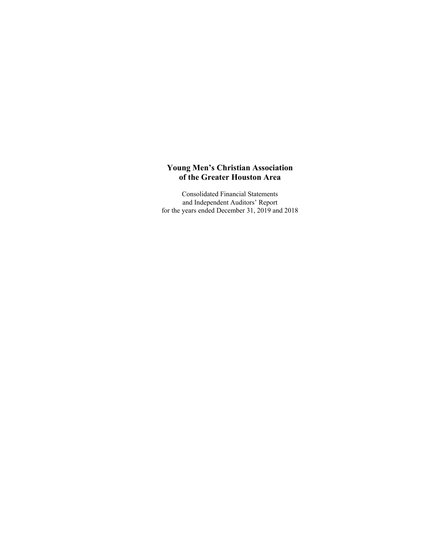Consolidated Financial Statements and Independent Auditors' Report for the years ended December 31, 2019 and 2018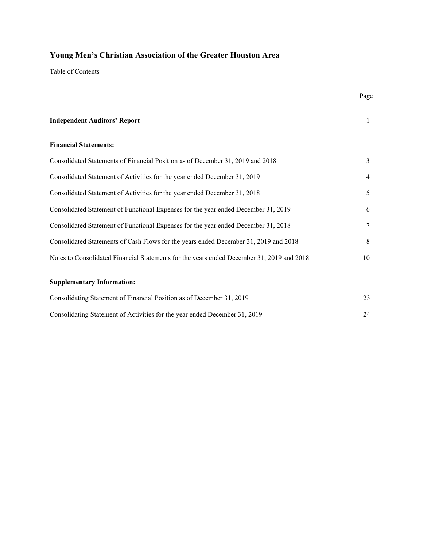Table of Contents

|                                                                                           | Page |
|-------------------------------------------------------------------------------------------|------|
| <b>Independent Auditors' Report</b>                                                       | 1    |
| <b>Financial Statements:</b>                                                              |      |
| Consolidated Statements of Financial Position as of December 31, 2019 and 2018            | 3    |
| Consolidated Statement of Activities for the year ended December 31, 2019                 | 4    |
| Consolidated Statement of Activities for the year ended December 31, 2018                 | 5    |
| Consolidated Statement of Functional Expenses for the year ended December 31, 2019        | 6    |
| Consolidated Statement of Functional Expenses for the year ended December 31, 2018        | 7    |
| Consolidated Statements of Cash Flows for the years ended December 31, 2019 and 2018      | 8    |
| Notes to Consolidated Financial Statements for the years ended December 31, 2019 and 2018 | 10   |
| <b>Supplementary Information:</b>                                                         |      |
| Consolidating Statement of Financial Position as of December 31, 2019                     | 23   |
| Consolidating Statement of Activities for the year ended December 31, 2019                | 24   |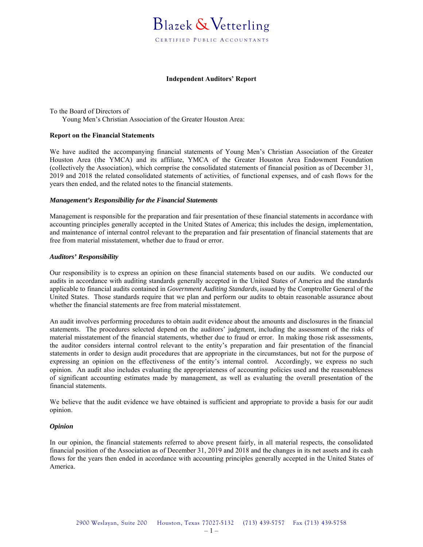

#### **Independent Auditors' Report**

To the Board of Directors of Young Men's Christian Association of the Greater Houston Area:

#### **Report on the Financial Statements**

We have audited the accompanying financial statements of Young Men's Christian Association of the Greater Houston Area (the YMCA) and its affiliate, YMCA of the Greater Houston Area Endowment Foundation (collectively the Association), which comprise the consolidated statements of financial position as of December 31, 2019 and 2018 the related consolidated statements of activities, of functional expenses, and of cash flows for the years then ended, and the related notes to the financial statements.

#### *Management's Responsibility for the Financial Statements*

Management is responsible for the preparation and fair presentation of these financial statements in accordance with accounting principles generally accepted in the United States of America; this includes the design, implementation, and maintenance of internal control relevant to the preparation and fair presentation of financial statements that are free from material misstatement, whether due to fraud or error.

#### *Auditors' Responsibility*

Our responsibility is to express an opinion on these financial statements based on our audits. We conducted our audits in accordance with auditing standards generally accepted in the United States of America and the standards applicable to financial audits contained in *Government Auditing Standards,* issued by the Comptroller General of the United States. Those standards require that we plan and perform our audits to obtain reasonable assurance about whether the financial statements are free from material misstatement.

An audit involves performing procedures to obtain audit evidence about the amounts and disclosures in the financial statements. The procedures selected depend on the auditors' judgment, including the assessment of the risks of material misstatement of the financial statements, whether due to fraud or error. In making those risk assessments, the auditor considers internal control relevant to the entity's preparation and fair presentation of the financial statements in order to design audit procedures that are appropriate in the circumstances, but not for the purpose of expressing an opinion on the effectiveness of the entity's internal control. Accordingly, we express no such opinion. An audit also includes evaluating the appropriateness of accounting policies used and the reasonableness of significant accounting estimates made by management, as well as evaluating the overall presentation of the financial statements.

We believe that the audit evidence we have obtained is sufficient and appropriate to provide a basis for our audit opinion.

#### *Opinion*

In our opinion, the financial statements referred to above present fairly, in all material respects, the consolidated financial position of the Association as of December 31, 2019 and 2018 and the changes in its net assets and its cash flows for the years then ended in accordance with accounting principles generally accepted in the United States of America.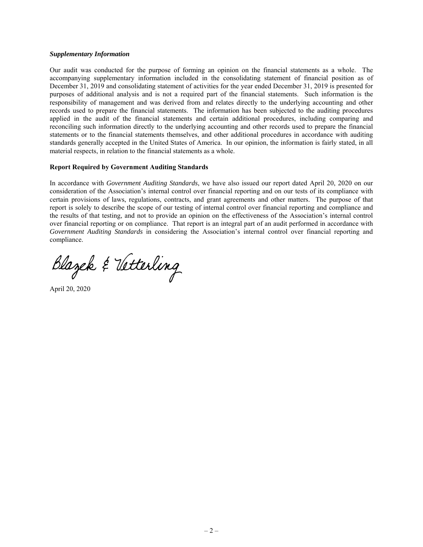#### *Supplementary Information*

Our audit was conducted for the purpose of forming an opinion on the financial statements as a whole. The accompanying supplementary information included in the consolidating statement of financial position as of December 31, 2019 and consolidating statement of activities for the year ended December 31, 2019 is presented for purposes of additional analysis and is not a required part of the financial statements. Such information is the responsibility of management and was derived from and relates directly to the underlying accounting and other records used to prepare the financial statements. The information has been subjected to the auditing procedures applied in the audit of the financial statements and certain additional procedures, including comparing and reconciling such information directly to the underlying accounting and other records used to prepare the financial statements or to the financial statements themselves, and other additional procedures in accordance with auditing standards generally accepted in the United States of America. In our opinion, the information is fairly stated, in all material respects, in relation to the financial statements as a whole.

#### **Report Required by Government Auditing Standards**

In accordance with *Government Auditing Standards*, we have also issued our report dated April 20, 2020 on our consideration of the Association's internal control over financial reporting and on our tests of its compliance with certain provisions of laws, regulations, contracts, and grant agreements and other matters. The purpose of that report is solely to describe the scope of our testing of internal control over financial reporting and compliance and the results of that testing, and not to provide an opinion on the effectiveness of the Association's internal control over financial reporting or on compliance. That report is an integral part of an audit performed in accordance with *Government Auditing Standards* in considering the Association's internal control over financial reporting and compliance.

Blazek & Vetterling

April 20, 2020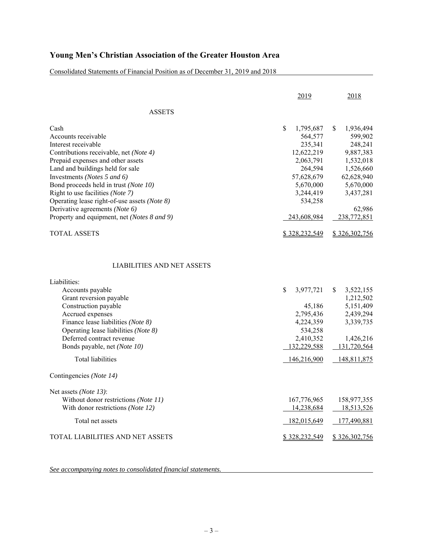Consolidated Statements of Financial Position as of December 31, 2019 and 2018

|                                                                                                                                                                                                                                                                                                                                                                                                                    | 2019                                                                                                                                          | 2018                                                                                                                                          |
|--------------------------------------------------------------------------------------------------------------------------------------------------------------------------------------------------------------------------------------------------------------------------------------------------------------------------------------------------------------------------------------------------------------------|-----------------------------------------------------------------------------------------------------------------------------------------------|-----------------------------------------------------------------------------------------------------------------------------------------------|
| ASSETS                                                                                                                                                                                                                                                                                                                                                                                                             |                                                                                                                                               |                                                                                                                                               |
| Cash<br>Accounts receivable<br>Interest receivable<br>Contributions receivable, net (Note 4)<br>Prepaid expenses and other assets<br>Land and buildings held for sale<br>Investments (Notes 5 and 6)<br>Bond proceeds held in trust (Note 10)<br>Right to use facilities (Note 7)<br>Operating lease right-of-use assets (Note 8)<br>Derivative agreements (Note 6)<br>Property and equipment, net (Notes 8 and 9) | \$<br>1,795,687<br>564,577<br>235,341<br>12,622,219<br>2,063,791<br>264,594<br>57,628,679<br>5,670,000<br>3,244,419<br>534,258<br>243,608,984 | \$<br>1,936,494<br>599,902<br>248,241<br>9,887,383<br>1,532,018<br>1,526,660<br>62,628,940<br>5,670,000<br>3,437,281<br>62,986<br>238,772,851 |
| <b>TOTAL ASSETS</b>                                                                                                                                                                                                                                                                                                                                                                                                | \$328,232,549                                                                                                                                 | \$326,302,756                                                                                                                                 |
| <b>LIABILITIES AND NET ASSETS</b><br>Liabilities:<br>Accounts payable<br>Grant reversion payable<br>Construction payable<br>Accrued expenses<br>Finance lease liabilities (Note 8)<br>Operating lease liabilities (Note 8)<br>Deferred contract revenue<br>Bonds payable, net (Note 10)<br><b>Total liabilities</b><br>Contingencies (Note 14)                                                                     | \$<br>3,977,721<br>45,186<br>2,795,436<br>4,224,359<br>534,258<br>2,410,352<br>132,229,588<br>146,216,900                                     | \$<br>3,522,155<br>1,212,502<br>5,151,409<br>2,439,294<br>3,339,735<br>1,426,216<br>131,720,564<br>148,811,875                                |
|                                                                                                                                                                                                                                                                                                                                                                                                                    |                                                                                                                                               |                                                                                                                                               |
| Net assets (Note 13):<br>Without donor restrictions (Note 11)<br>With donor restrictions (Note 12)<br>Total net assets                                                                                                                                                                                                                                                                                             | 167,776,965<br>14,238,684<br>182,015,649                                                                                                      | 158,977,355<br>18,513,526<br>177,490,881                                                                                                      |
| TOTAL LIABILITIES AND NET ASSETS                                                                                                                                                                                                                                                                                                                                                                                   | \$328,232,549                                                                                                                                 | \$326,302,756                                                                                                                                 |
|                                                                                                                                                                                                                                                                                                                                                                                                                    |                                                                                                                                               |                                                                                                                                               |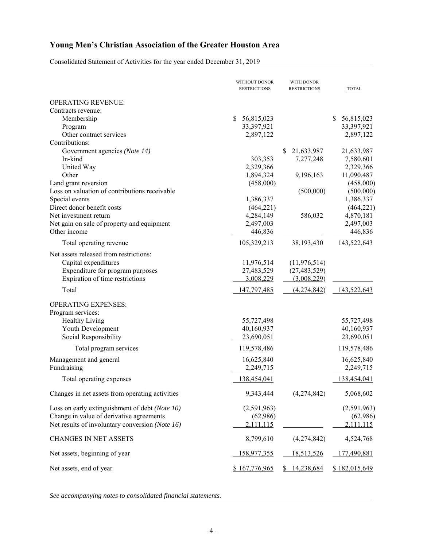Consolidated Statement of Activities for the year ended December 31, 2019

|                                                 | WITHOUT DONOR<br><b>RESTRICTIONS</b> | WITH DONOR<br><b>RESTRICTIONS</b> | <b>TOTAL</b>       |
|-------------------------------------------------|--------------------------------------|-----------------------------------|--------------------|
| <b>OPERATING REVENUE:</b>                       |                                      |                                   |                    |
| Contracts revenue:                              |                                      |                                   |                    |
| Membership                                      | S<br>56,815,023                      |                                   | 56,815,023<br>\$   |
| Program                                         | 33,397,921                           |                                   | 33,397,921         |
| Other contract services                         | 2,897,122                            |                                   | 2,897,122          |
| Contributions:                                  |                                      |                                   |                    |
| Government agencies (Note 14)                   |                                      | \$<br>21,633,987                  | 21,633,987         |
| In-kind                                         | 303,353                              | 7,277,248                         | 7,580,601          |
| United Way                                      | 2,329,366                            |                                   | 2,329,366          |
| Other                                           | 1,894,324                            | 9,196,163                         | 11,090,487         |
| Land grant reversion                            | (458,000)                            |                                   | (458,000)          |
| Loss on valuation of contributions receivable   |                                      | (500,000)                         | (500,000)          |
| Special events                                  | 1,386,337                            |                                   | 1,386,337          |
| Direct donor benefit costs                      | (464, 221)                           |                                   | (464, 221)         |
| Net investment return                           | 4,284,149                            | 586,032                           | 4,870,181          |
| Net gain on sale of property and equipment      | 2,497,003                            |                                   | 2,497,003          |
| Other income                                    | 446,836                              |                                   | 446,836            |
| Total operating revenue                         | 105,329,213                          | 38,193,430                        | 143,522,643        |
| Net assets released from restrictions:          |                                      |                                   |                    |
|                                                 |                                      |                                   |                    |
| Capital expenditures                            | 11,976,514                           | (11, 976, 514)                    |                    |
| Expenditure for program purposes                | 27,483,529                           | (27, 483, 529)                    |                    |
| Expiration of time restrictions                 | 3,008,229                            | (3,008,229)                       |                    |
| Total                                           | 147,797,485                          | (4,274,842)                       | 143,522,643        |
| <b>OPERATING EXPENSES:</b>                      |                                      |                                   |                    |
| Program services:                               |                                      |                                   |                    |
| <b>Healthy Living</b>                           | 55,727,498                           |                                   | 55,727,498         |
| Youth Development                               | 40,160,937                           |                                   | 40,160,937         |
| Social Responsibility                           | 23,690,051                           |                                   | 23,690,051         |
| Total program services                          | 119,578,486                          |                                   | 119,578,486        |
| Management and general                          | 16,625,840                           |                                   | 16,625,840         |
| Fundraising                                     | 2,249,715                            |                                   | 2,249,715          |
|                                                 |                                      |                                   |                    |
| Total operating expenses                        | 138,454,041                          |                                   | 138,454,041        |
| Changes in net assets from operating activities | 9,343,444                            | (4,274,842)                       | 5,068,602          |
| Loss on early extinguishment of debt (Note 10)  | (2,591,963)                          |                                   | (2,591,963)        |
| Change in value of derivative agreements        | (62,986)                             |                                   | (62,986)           |
| Net results of involuntary conversion (Note 16) | 2,111,115                            |                                   | 2,111,115          |
|                                                 |                                      |                                   |                    |
| <b>CHANGES IN NET ASSETS</b>                    | 8,799,610                            | (4,274,842)                       | 4,524,768          |
| Net assets, beginning of year                   | 158,977,355                          | <u>18,513,526</u>                 | <u>177,490,881</u> |
| Net assets, end of year                         | \$167,776,965                        | 14,238,684                        | \$182,015,649      |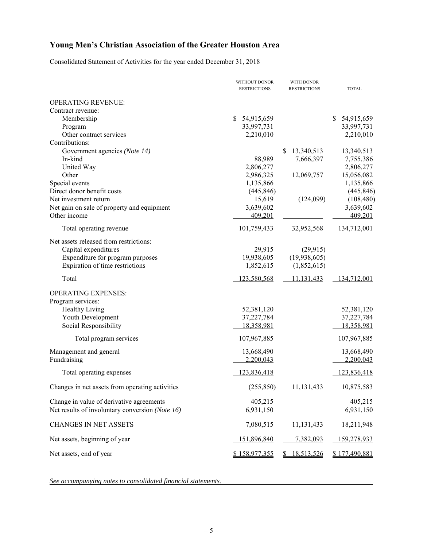Consolidated Statement of Activities for the year ended December 31, 2018

|                                                 | WITHOUT DONOR<br><b>RESTRICTIONS</b> | WITH DONOR<br><b>RESTRICTIONS</b> | <b>TOTAL</b>                |
|-------------------------------------------------|--------------------------------------|-----------------------------------|-----------------------------|
| <b>OPERATING REVENUE:</b>                       |                                      |                                   |                             |
| Contract revenue:                               |                                      |                                   |                             |
| Membership                                      | S<br>54,915,659                      |                                   | <sup>\$</sup><br>54,915,659 |
| Program                                         | 33,997,731                           |                                   | 33,997,731                  |
| Other contract services                         | 2,210,010                            |                                   | 2,210,010                   |
| Contributions:                                  |                                      |                                   |                             |
| Government agencies (Note 14)                   |                                      | \$<br>13,340,513                  | 13,340,513                  |
| In-kind                                         | 88,989                               | 7,666,397                         | 7,755,386                   |
| United Way                                      | 2,806,277                            |                                   | 2,806,277                   |
| Other                                           | 2,986,325                            | 12,069,757                        | 15,056,082                  |
| Special events                                  | 1,135,866                            |                                   | 1,135,866                   |
| Direct donor benefit costs                      | (445, 846)                           |                                   | (445, 846)                  |
| Net investment return                           | 15,619                               | (124,099)                         | (108, 480)                  |
| Net gain on sale of property and equipment      | 3,639,602                            |                                   | 3,639,602                   |
| Other income                                    | 409,201                              |                                   | 409,201                     |
| Total operating revenue                         | 101,759,433                          | 32,952,568                        | 134,712,001                 |
| Net assets released from restrictions:          |                                      |                                   |                             |
| Capital expenditures                            | 29,915                               | (29, 915)                         |                             |
| Expenditure for program purposes                | 19,938,605                           | (19,938,605)                      |                             |
| Expiration of time restrictions                 | 1,852,615                            | (1,852,615)                       |                             |
| Total                                           | 123,580,568                          | 11,131,433                        | 134,712,001                 |
|                                                 |                                      |                                   |                             |
| <b>OPERATING EXPENSES:</b>                      |                                      |                                   |                             |
| Program services:                               |                                      |                                   |                             |
| <b>Healthy Living</b>                           | 52,381,120                           |                                   | 52,381,120                  |
| Youth Development<br>Social Responsibility      | 37,227,784<br>18,358,981             |                                   | 37,227,784<br>18,358,981    |
|                                                 |                                      |                                   |                             |
| Total program services                          | 107,967,885                          |                                   | 107,967,885                 |
| Management and general                          | 13,668,490                           |                                   | 13,668,490                  |
| Fundraising                                     | 2,200,043                            |                                   | 2,200,043                   |
| Total operating expenses                        | 123,836,418                          |                                   | 123,836,418                 |
| Changes in net assets from operating activities | (255, 850)                           | 11,131,433                        | 10,875,583                  |
| Change in value of derivative agreements        | 405,215                              |                                   | 405,215                     |
| Net results of involuntary conversion (Note 16) | 6,931,150                            |                                   |                             |
|                                                 |                                      |                                   | 6,931,150                   |
| <b>CHANGES IN NET ASSETS</b>                    | 7,080,515                            | 11,131,433                        | 18,211,948                  |
| Net assets, beginning of year                   | 151,896,840                          | 7,382,093                         | 159,278,933                 |
| Net assets, end of year                         | \$158,977,355                        | 18,513,526                        | \$177,490,881               |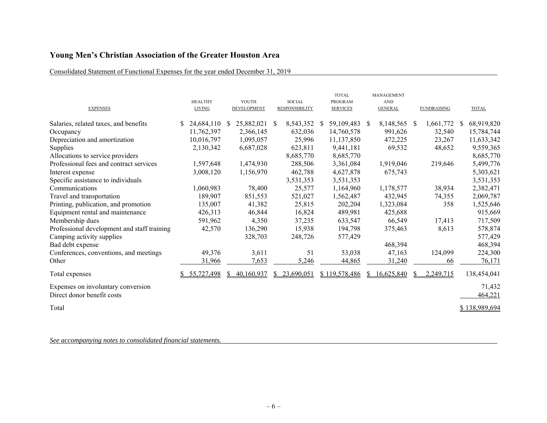### Consolidated Statement of Functional Expenses for the year ended December 31, 2019

| <b>EXPENSES</b>                                                  | <b>HEALTHY</b><br><b>LIVING</b> | YOUTH<br>DEVELOPMENT | <b>SOCIAL</b><br><b>RESPONSIBILITY</b> | <b>TOTAL</b><br><b>PROGRAM</b><br><b>SERVICES</b> | <b>MANAGEMENT</b><br><b>AND</b><br><b>GENERAL</b> | <b>FUNDRAISING</b>        | <b>TOTAL</b>      |
|------------------------------------------------------------------|---------------------------------|----------------------|----------------------------------------|---------------------------------------------------|---------------------------------------------------|---------------------------|-------------------|
| Salaries, related taxes, and benefits                            | 24,684,110 \$                   | 25,882,021           | 8,543,352<br><sup>S</sup>              | 59,109,483 \$<br>S.                               | 8,148,565                                         | 1,661,772<br><sup>S</sup> | 68,919,820        |
| Occupancy                                                        | 11,762,397                      | 2,366,145            | 632,036                                | 14,760,578                                        | 991,626                                           | 32,540                    | 15,784,744        |
| Depreciation and amortization                                    | 10,016,797                      | 1,095,057            | 25,996                                 | 11,137,850                                        | 472,225                                           | 23,267                    | 11,633,342        |
| Supplies                                                         | 2,130,342                       | 6,687,028            | 623,811                                | 9,441,181                                         | 69,532                                            | 48,652                    | 9,559,365         |
| Allocations to service providers                                 |                                 |                      | 8,685,770                              | 8,685,770                                         |                                                   |                           | 8,685,770         |
| Professional fees and contract services                          | 1,597,648                       | 1,474,930            | 288,506                                | 3,361,084                                         | 1,919,046                                         | 219,646                   | 5,499,776         |
| Interest expense                                                 | 3,008,120                       | 1,156,970            | 462,788                                | 4,627,878                                         | 675,743                                           |                           | 5,303,621         |
| Specific assistance to individuals                               |                                 |                      | 3,531,353                              | 3,531,353                                         |                                                   |                           | 3,531,353         |
| Communications                                                   | 1,060,983                       | 78,400               | 25,577                                 | 1,164,960                                         | 1,178,577                                         | 38,934                    | 2,382,471         |
| Travel and transportation                                        | 189,907                         | 851,553              | 521,027                                | 1,562,487                                         | 432,945                                           | 74,355                    | 2,069,787         |
| Printing, publication, and promotion                             | 135,007                         | 41,382               | 25,815                                 | 202,204                                           | 1,323,084                                         | 358                       | 1,525,646         |
| Equipment rental and maintenance                                 | 426,313                         | 46,844               | 16,824                                 | 489,981                                           | 425,688                                           |                           | 915,669           |
| Membership dues                                                  | 591,962                         | 4,350                | 37,235                                 | 633,547                                           | 66,549                                            | 17,413                    | 717,509           |
| Professional development and staff training                      | 42,570                          | 136,290              | 15,938                                 | 194,798                                           | 375,463                                           | 8,613                     | 578,874           |
| Camping activity supplies                                        |                                 | 328,703              | 248,726                                | 577,429                                           |                                                   |                           | 577,429           |
| Bad debt expense                                                 |                                 |                      |                                        |                                                   | 468,394                                           |                           | 468,394           |
| Conferences, conventions, and meetings                           | 49,376                          | 3,611                | 51                                     | 53,038                                            | 47,163                                            | 124,099                   | 224,300           |
| Other                                                            | 31,966                          | 7,653                | 5,246                                  | 44,865                                            | 31,240                                            | 66                        | 76,171            |
| Total expenses                                                   | 55,727,498                      | 40,160,937           | 23,690,051                             | \$119,578,486                                     | 16,625,840<br>S.                                  | 2,249,715                 | 138,454,041       |
| Expenses on involuntary conversion<br>Direct donor benefit costs |                                 |                      |                                        |                                                   |                                                   |                           | 71,432<br>464,221 |
| Total                                                            |                                 |                      |                                        |                                                   |                                                   |                           | \$138,989,694     |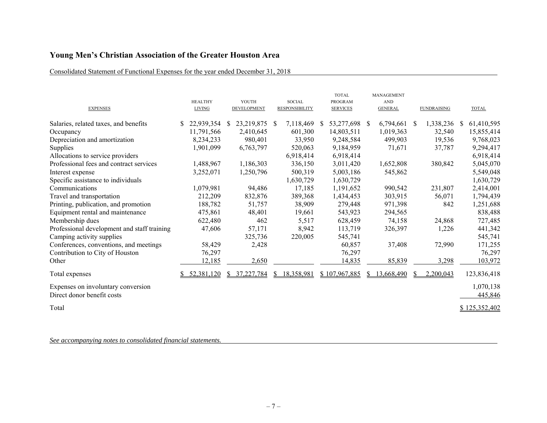### Consolidated Statement of Functional Expenses for the year ended December 31, 2018

| <b>EXPENSES</b>                             | <b>HEALTHY</b><br><b>LIVING</b> | YOUTH<br>DEVELOPMENT | <b>SOCIAL</b><br><b>RESPONSIBILITY</b> | <b>TOTAL</b><br><b>PROGRAM</b><br><b>SERVICES</b> | <b>MANAGEMENT</b><br><b>AND</b><br><b>GENERAL</b> | <b>FUNDRAISING</b> | <b>TOTAL</b>  |
|---------------------------------------------|---------------------------------|----------------------|----------------------------------------|---------------------------------------------------|---------------------------------------------------|--------------------|---------------|
| Salaries, related taxes, and benefits       | 22,939,354                      | 23,219,875<br>-S     | 7,118,469<br>-S                        | 53,277,698 \$<br><sup>S</sup>                     | 6,794,661                                         | 1,338,236<br>- \$  | 61,410,595    |
| Occupancy                                   | 11,791,566                      | 2,410,645            | 601,300                                | 14,803,511                                        | 1,019,363                                         | 32,540             | 15,855,414    |
| Depreciation and amortization               | 8,234,233                       | 980,401              | 33,950                                 | 9,248,584                                         | 499,903                                           | 19,536             | 9,768,023     |
| Supplies                                    | 1,901,099                       | 6,763,797            | 520,063                                | 9,184,959                                         | 71,671                                            | 37,787             | 9,294,417     |
| Allocations to service providers            |                                 |                      | 6,918,414                              | 6,918,414                                         |                                                   |                    | 6,918,414     |
| Professional fees and contract services     | 1,488,967                       | 1,186,303            | 336,150                                | 3,011,420                                         | 1,652,808                                         | 380,842            | 5,045,070     |
| Interest expense                            | 3,252,071                       | 1,250,796            | 500,319                                | 5,003,186                                         | 545,862                                           |                    | 5,549,048     |
| Specific assistance to individuals          |                                 |                      | 1,630,729                              | 1,630,729                                         |                                                   |                    | 1,630,729     |
| Communications                              | 1,079,981                       | 94,486               | 17,185                                 | 1,191,652                                         | 990,542                                           | 231,807            | 2,414,001     |
| Travel and transportation                   | 212,209                         | 832,876              | 389,368                                | 1,434,453                                         | 303,915                                           | 56,071             | 1,794,439     |
| Printing, publication, and promotion        | 188,782                         | 51,757               | 38,909                                 | 279,448                                           | 971,398                                           | 842                | 1,251,688     |
| Equipment rental and maintenance            | 475,861                         | 48,401               | 19,661                                 | 543,923                                           | 294,565                                           |                    | 838,488       |
| Membership dues                             | 622,480                         | 462                  | 5,517                                  | 628,459                                           | 74,158                                            | 24,868             | 727,485       |
| Professional development and staff training | 47,606                          | 57,171               | 8,942                                  | 113,719                                           | 326,397                                           | 1,226              | 441,342       |
| Camping activity supplies                   |                                 | 325,736              | 220,005                                | 545,741                                           |                                                   |                    | 545,741       |
| Conferences, conventions, and meetings      | 58,429                          | 2,428                |                                        | 60,857                                            | 37,408                                            | 72,990             | 171,255       |
| Contribution to City of Houston             | 76,297                          |                      |                                        | 76,297                                            |                                                   |                    | 76,297        |
| Other                                       | 12,185                          | 2,650                |                                        | 14,835                                            | 85,839                                            | 3,298              | 103,972       |
| Total expenses                              | 52,381,120                      | 37,227,784<br>S.     | 18,358,981                             | \$107,967,885                                     | 13,668,490<br>S.                                  | 2,200,043          | 123,836,418   |
| Expenses on involuntary conversion          |                                 |                      |                                        |                                                   |                                                   |                    | 1,070,138     |
| Direct donor benefit costs                  |                                 |                      |                                        |                                                   |                                                   |                    | 445,846       |
| Total                                       |                                 |                      |                                        |                                                   |                                                   |                    | \$125,352,402 |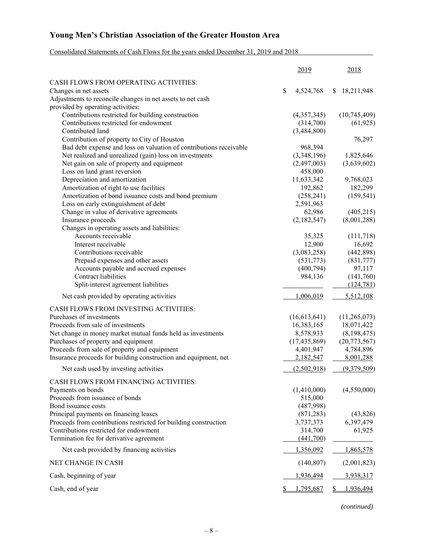### Consolidated Statements of Cash Flows for the years ended December 31, 2019 and 2018

|                                                                     | 2019                  | 2018                |
|---------------------------------------------------------------------|-----------------------|---------------------|
| CASH FLOWS FROM OPERATING ACTIVITIES:                               |                       |                     |
| Changes in net assets                                               | \$<br>4,524,768       | 18,211,948<br>S.    |
| Adjustments to reconcile changes in net assets to net cash          |                       |                     |
| provided by operating activities:                                   |                       |                     |
| Contributions restricted for building construction                  | (4,357,345)           | (10,745,409)        |
| Contributions restricted for endowment                              | (314,700)             | (61, 925)           |
| Contributed land                                                    | (3,484,800)           |                     |
| Contribution of property to City of Houston                         |                       | 76,297              |
| Bad debt expense and loss on valuation of contributions receivable  | 968,394               |                     |
| Net realized and unrealized (gain) loss on investments              | (3,348,196)           | 1,825,646           |
| Net gain on sale of property and equipment                          | (2,497,003)           | (3,639,602)         |
| Loss on land grant reversion                                        | 458,000               |                     |
| Depreciation and amortization                                       | 11,633,342            | 9,768,023           |
| Amortization of right to use facilities                             | 192,862               | 182,299             |
| Amortization of bond issuance costs and bond premium                | (258, 241)            | (159, 541)          |
| Loss on early extinguishment of debt                                | 2,591,963             |                     |
| Change in value of derivative agreements                            | 62,986<br>(2,182,547) | (405,215)           |
| Insurance proceeds                                                  |                       | (8,001,288)         |
| Changes in operating assets and liabilities:<br>Accounts receivable | 35,325                |                     |
| Interest receivable                                                 | 12,900                | (111,718)<br>16,692 |
| Contributions receivable                                            | (3,083,258)           | (442,898)           |
| Prepaid expenses and other assets                                   | (531,773)             | (831,777)           |
| Accounts payable and accrued expenses                               | (400,794)             | 97,117              |
| <b>Contract liabilities</b>                                         | 984,136               | (141,760)           |
| Split-interest agreement liabilities                                |                       | (124, 781)          |
| Net cash provided by operating activities                           | 1,006,019             | 5,512,108           |
| CASH FLOWS FROM INVESTING ACTIVITIES:                               |                       |                     |
| Purchases of investments                                            | (16,613,641)          | (11,265,073)        |
| Proceeds from sale of investments                                   | 16,383,165            | 18,071,422          |
| Net change in money market mutual funds held as investments         | 8,578,933             | (8,198,475)         |
| Purchases of property and equipment                                 | (17, 435, 869)        | (20,773,567)        |
| Proceeds from sale of property and equipment                        | 4,401,947             | 4,784,896           |
| Insurance proceeds for building construction and equipment, net     | 2,182,547             | 8,001,288           |
| Net cash used by investing activities                               | (2,502,918)           | (9,379,509)         |
| CASH FLOWS FROM FINANCING ACTIVITIES:                               |                       |                     |
| Payments on bonds                                                   | (1,410,000)           | (4,550,000)         |
| Proceeds from issuance of bonds                                     | 515,000               |                     |
| Bond issuance costs                                                 | (487,998)             |                     |
| Principal payments on financing leases                              | (871, 283)            | (43, 826)           |
| Proceeds from contributions restricted for building construction    | 3,737,373             | 6,397,479           |
| Contributions restricted for endowment                              | 314,700               | 61,925              |
| Termination fee for derivative agreement                            | (441,700)             |                     |
| Net cash provided by financing activities                           | 1,356,092             | 1,865,578           |
| NET CHANGE IN CASH                                                  | (140, 807)            | (2,001,823)         |
| Cash, beginning of year                                             | 1,936,494             | 3,938,317           |
| Cash, end of year                                                   | 1,795,687             | 1,936,494           |

*(continued)*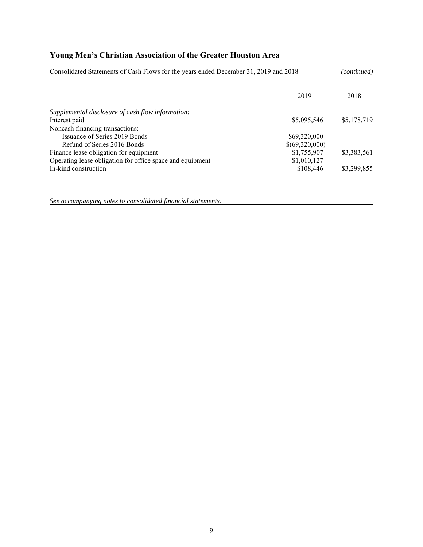| Consolidated Statements of Cash Flows for the years ended December 31, 2019 and 2018 |                |             |
|--------------------------------------------------------------------------------------|----------------|-------------|
|                                                                                      | 2019           | 2018        |
| Supplemental disclosure of cash flow information:                                    |                |             |
| Interest paid                                                                        | \$5,095,546    | \$5,178,719 |
| Noncash financing transactions:                                                      |                |             |
| Issuance of Series 2019 Bonds                                                        | \$69,320,000   |             |
| Refund of Series 2016 Bonds                                                          | \$(69,320,000) |             |
| Finance lease obligation for equipment                                               | \$1,755,907    | \$3,383,561 |
| Operating lease obligation for office space and equipment                            | \$1,010,127    |             |
| In-kind construction                                                                 | \$108,446      | \$3,299,855 |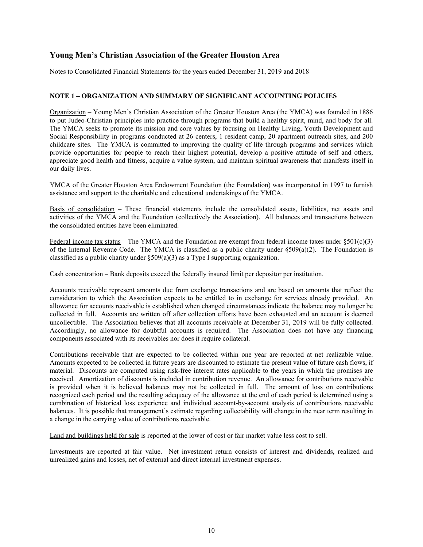Notes to Consolidated Financial Statements for the years ended December 31, 2019 and 2018

#### **NOTE 1 – ORGANIZATION AND SUMMARY OF SIGNIFICANT ACCOUNTING POLICIES**

Organization – Young Men's Christian Association of the Greater Houston Area (the YMCA) was founded in 1886 to put Judeo-Christian principles into practice through programs that build a healthy spirit, mind, and body for all. The YMCA seeks to promote its mission and core values by focusing on Healthy Living, Youth Development and Social Responsibility in programs conducted at 26 centers, 1 resident camp, 20 apartment outreach sites, and 200 childcare sites. The YMCA is committed to improving the quality of life through programs and services which provide opportunities for people to reach their highest potential, develop a positive attitude of self and others, appreciate good health and fitness, acquire a value system, and maintain spiritual awareness that manifests itself in our daily lives.

YMCA of the Greater Houston Area Endowment Foundation (the Foundation) was incorporated in 1997 to furnish assistance and support to the charitable and educational undertakings of the YMCA.

Basis of consolidation – These financial statements include the consolidated assets, liabilities, net assets and activities of the YMCA and the Foundation (collectively the Association). All balances and transactions between the consolidated entities have been eliminated.

Federal income tax status – The YMCA and the Foundation are exempt from federal income taxes under  $\S 501(c)(3)$ of the Internal Revenue Code. The YMCA is classified as a public charity under  $$509(a)(2)$ . The Foundation is classified as a public charity under §509(a)(3) as a Type I supporting organization.

Cash concentration – Bank deposits exceed the federally insured limit per depositor per institution.

Accounts receivable represent amounts due from exchange transactions and are based on amounts that reflect the consideration to which the Association expects to be entitled to in exchange for services already provided. An allowance for accounts receivable is established when changed circumstances indicate the balance may no longer be collected in full. Accounts are written off after collection efforts have been exhausted and an account is deemed uncollectible. The Association believes that all accounts receivable at December 31, 2019 will be fully collected. Accordingly, no allowance for doubtful accounts is required. The Association does not have any financing components associated with its receivables nor does it require collateral.

Contributions receivable that are expected to be collected within one year are reported at net realizable value. Amounts expected to be collected in future years are discounted to estimate the present value of future cash flows, if material. Discounts are computed using risk-free interest rates applicable to the years in which the promises are received. Amortization of discounts is included in contribution revenue. An allowance for contributions receivable is provided when it is believed balances may not be collected in full. The amount of loss on contributions recognized each period and the resulting adequacy of the allowance at the end of each period is determined using a combination of historical loss experience and individual account-by-account analysis of contributions receivable balances. It is possible that management's estimate regarding collectability will change in the near term resulting in a change in the carrying value of contributions receivable.

Land and buildings held for sale is reported at the lower of cost or fair market value less cost to sell.

Investments are reported at fair value. Net investment return consists of interest and dividends, realized and unrealized gains and losses, net of external and direct internal investment expenses.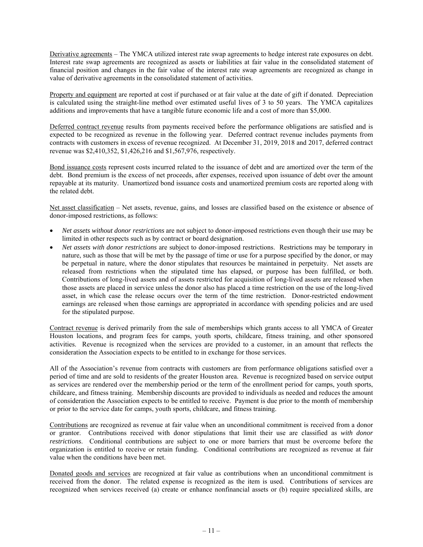Derivative agreements – The YMCA utilized interest rate swap agreements to hedge interest rate exposures on debt. Interest rate swap agreements are recognized as assets or liabilities at fair value in the consolidated statement of financial position and changes in the fair value of the interest rate swap agreements are recognized as change in value of derivative agreements in the consolidated statement of activities.

Property and equipment are reported at cost if purchased or at fair value at the date of gift if donated. Depreciation is calculated using the straight-line method over estimated useful lives of 3 to 50 years. The YMCA capitalizes additions and improvements that have a tangible future economic life and a cost of more than \$5,000.

Deferred contract revenue results from payments received before the performance obligations are satisfied and is expected to be recognized as revenue in the following year. Deferred contract revenue includes payments from contracts with customers in excess of revenue recognized. At December 31, 2019, 2018 and 2017, deferred contract revenue was \$2,410,352, \$1,426,216 and \$1,567,976, respectively.

Bond issuance costs represent costs incurred related to the issuance of debt and are amortized over the term of the debt. Bond premium is the excess of net proceeds, after expenses, received upon issuance of debt over the amount repayable at its maturity. Unamortized bond issuance costs and unamortized premium costs are reported along with the related debt.

Net asset classification – Net assets, revenue, gains, and losses are classified based on the existence or absence of donor-imposed restrictions, as follows:

- *Net assets without donor restrictions* are not subject to donor-imposed restrictions even though their use may be limited in other respects such as by contract or board designation.
- *Net assets with donor restrictions* are subject to donor-imposed restrictions. Restrictions may be temporary in nature, such as those that will be met by the passage of time or use for a purpose specified by the donor, or may be perpetual in nature, where the donor stipulates that resources be maintained in perpetuity. Net assets are released from restrictions when the stipulated time has elapsed, or purpose has been fulfilled, or both. Contributions of long-lived assets and of assets restricted for acquisition of long-lived assets are released when those assets are placed in service unless the donor also has placed a time restriction on the use of the long-lived asset, in which case the release occurs over the term of the time restriction. Donor-restricted endowment earnings are released when those earnings are appropriated in accordance with spending policies and are used for the stipulated purpose.

Contract revenue is derived primarily from the sale of memberships which grants access to all YMCA of Greater Houston locations, and program fees for camps, youth sports, childcare, fitness training, and other sponsored activities. Revenue is recognized when the services are provided to a customer, in an amount that reflects the consideration the Association expects to be entitled to in exchange for those services.

All of the Association's revenue from contracts with customers are from performance obligations satisfied over a period of time and are sold to residents of the greater Houston area. Revenue is recognized based on service output as services are rendered over the membership period or the term of the enrollment period for camps, youth sports, childcare, and fitness training. Membership discounts are provided to individuals as needed and reduces the amount of consideration the Association expects to be entitled to receive. Payment is due prior to the month of membership or prior to the service date for camps, youth sports, childcare, and fitness training.

Contributions are recognized as revenue at fair value when an unconditional commitment is received from a donor or grantor. Contributions received with donor stipulations that limit their use are classified as *with donor restrictions*. Conditional contributions are subject to one or more barriers that must be overcome before the organization is entitled to receive or retain funding. Conditional contributions are recognized as revenue at fair value when the conditions have been met.

Donated goods and services are recognized at fair value as contributions when an unconditional commitment is received from the donor. The related expense is recognized as the item is used. Contributions of services are recognized when services received (a) create or enhance nonfinancial assets or (b) require specialized skills, are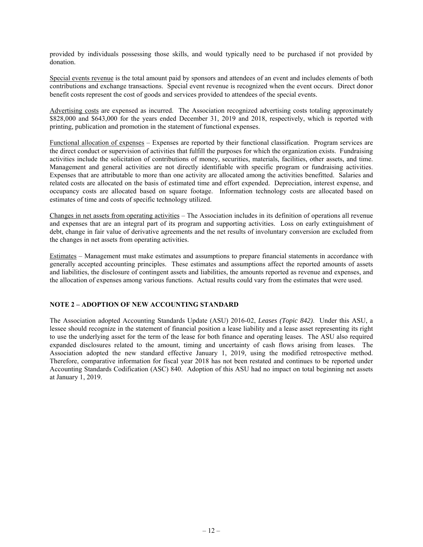provided by individuals possessing those skills, and would typically need to be purchased if not provided by donation.

Special events revenue is the total amount paid by sponsors and attendees of an event and includes elements of both contributions and exchange transactions. Special event revenue is recognized when the event occurs. Direct donor benefit costs represent the cost of goods and services provided to attendees of the special events.

Advertising costs are expensed as incurred. The Association recognized advertising costs totaling approximately \$828,000 and \$643,000 for the years ended December 31, 2019 and 2018, respectively, which is reported with printing, publication and promotion in the statement of functional expenses.

Functional allocation of expenses – Expenses are reported by their functional classification. Program services are the direct conduct or supervision of activities that fulfill the purposes for which the organization exists. Fundraising activities include the solicitation of contributions of money, securities, materials, facilities, other assets, and time. Management and general activities are not directly identifiable with specific program or fundraising activities. Expenses that are attributable to more than one activity are allocated among the activities benefitted. Salaries and related costs are allocated on the basis of estimated time and effort expended. Depreciation, interest expense, and occupancy costs are allocated based on square footage. Information technology costs are allocated based on estimates of time and costs of specific technology utilized.

Changes in net assets from operating activities – The Association includes in its definition of operations all revenue and expenses that are an integral part of its program and supporting activities. Loss on early extinguishment of debt, change in fair value of derivative agreements and the net results of involuntary conversion are excluded from the changes in net assets from operating activities.

Estimates – Management must make estimates and assumptions to prepare financial statements in accordance with generally accepted accounting principles. These estimates and assumptions affect the reported amounts of assets and liabilities, the disclosure of contingent assets and liabilities, the amounts reported as revenue and expenses, and the allocation of expenses among various functions. Actual results could vary from the estimates that were used.

#### **NOTE 2 – ADOPTION OF NEW ACCOUNTING STANDARD**

The Association adopted Accounting Standards Update (ASU) 2016-02, *Leases (Topic 842)*. Under this ASU, a lessee should recognize in the statement of financial position a lease liability and a lease asset representing its right to use the underlying asset for the term of the lease for both finance and operating leases. The ASU also required expanded disclosures related to the amount, timing and uncertainty of cash flows arising from leases. The Association adopted the new standard effective January 1, 2019, using the modified retrospective method. Therefore, comparative information for fiscal year 2018 has not been restated and continues to be reported under Accounting Standards Codification (ASC) 840. Adoption of this ASU had no impact on total beginning net assets at January 1, 2019.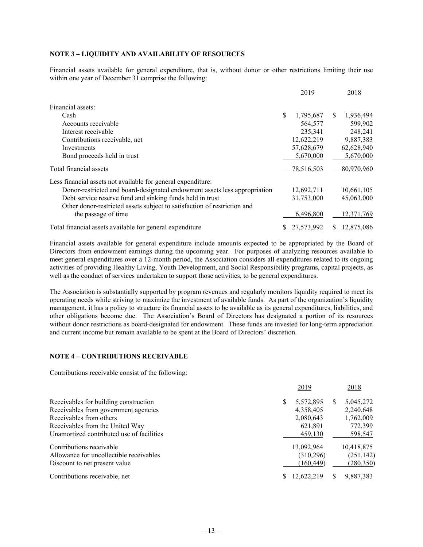#### **NOTE 3 – LIQUIDITY AND AVAILABILITY OF RESOURCES**

Financial assets available for general expenditure, that is, without donor or other restrictions limiting their use within one year of December 31 comprise the following:

|                                                                           |     | 2019       |     | 2018       |
|---------------------------------------------------------------------------|-----|------------|-----|------------|
| Financial assets:                                                         |     |            |     |            |
| Cash                                                                      | \$. | 1,795,687  | \$. | 1,936,494  |
| Accounts receivable                                                       |     | 564,577    |     | 599,902    |
| Interest receivable                                                       |     | 235,341    |     | 248,241    |
| Contributions receivable, net                                             |     | 12,622,219 |     | 9,887,383  |
| Investments                                                               |     | 57,628,679 |     | 62,628,940 |
| Bond proceeds held in trust                                               |     | 5,670,000  |     | 5,670,000  |
| Total financial assets                                                    |     | 78,516,503 |     | 80,970,960 |
| Less financial assets not available for general expenditure:              |     |            |     |            |
| Donor-restricted and board-designated endowment assets less appropriation |     | 12,692,711 |     | 10,661,105 |
| Debt service reserve fund and sinking funds held in trust                 |     | 31,753,000 |     | 45,063,000 |
| Other donor-restricted assets subject to satisfaction of restriction and  |     |            |     |            |
| the passage of time                                                       |     | 6,496,800  |     | 12,371,769 |
| Total financial assets available for general expenditure                  |     | 27.573.992 |     | 12,875,086 |

Financial assets available for general expenditure include amounts expected to be appropriated by the Board of Directors from endowment earnings during the upcoming year. For purposes of analyzing resources available to meet general expenditures over a 12-month period, the Association considers all expenditures related to its ongoing activities of providing Healthy Living, Youth Development, and Social Responsibility programs, capital projects, as well as the conduct of services undertaken to support those activities, to be general expenditures.

The Association is substantially supported by program revenues and regularly monitors liquidity required to meet its operating needs while striving to maximize the investment of available funds. As part of the organization's liquidity management, it has a policy to structure its financial assets to be available as its general expenditures, liabilities, and other obligations become due. The Association's Board of Directors has designated a portion of its resources without donor restrictions as board-designated for endowment. These funds are invested for long-term appreciation and current income but remain available to be spent at the Board of Directors' discretion.

#### **NOTE 4 – CONTRIBUTIONS RECEIVABLE**

Contributions receivable consist of the following:

|                                           | 2019           | 2018            |
|-------------------------------------------|----------------|-----------------|
| Receivables for building construction     | 5,572,895<br>S | 5,045,272<br>S. |
| Receivables from government agencies      | 4,358,405      | 2,240,648       |
| Receivables from others                   | 2,080,643      | 1,762,009       |
| Receivables from the United Way           | 621,891        | 772,399         |
| Unamortized contributed use of facilities | 459,130        | 598,547         |
| Contributions receivable                  | 13,092,964     | 10,418,875      |
| Allowance for uncollectible receivables   | (310, 296)     | (251, 142)      |
| Discount to net present value             | (160, 449)     | (280,350)       |
| Contributions receivable, net             | 12.622.219     | 9,887,383       |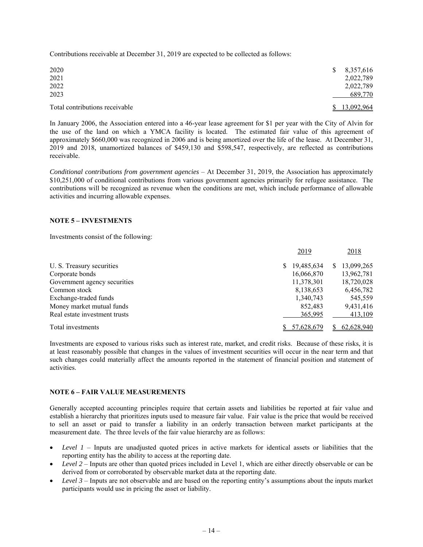Contributions receivable at December 31, 2019 are expected to be collected as follows:

| 2020<br>2021                   | 8,357,616<br><sup>S</sup><br>2,022,789 |
|--------------------------------|----------------------------------------|
| 2022<br>2023                   | 2,022,789<br>689,770                   |
| Total contributions receivable | \$13.092.964                           |

In January 2006, the Association entered into a 46-year lease agreement for \$1 per year with the City of Alvin for the use of the land on which a YMCA facility is located. The estimated fair value of this agreement of approximately \$660,000 was recognized in 2006 and is being amortized over the life of the lease. At December 31, 2019 and 2018, unamortized balances of \$459,130 and \$598,547, respectively, are reflected as contributions receivable.

*Conditional contributions from government agencies* – At December 31, 2019, the Association has approximately \$10,251,000 of conditional contributions from various government agencies primarily for refugee assistance. The contributions will be recognized as revenue when the conditions are met, which include performance of allowable activities and incurring allowable expenses.

#### **NOTE 5 – INVESTMENTS**

Investments consist of the following:

|                               | 2019       | 2018       |
|-------------------------------|------------|------------|
| U. S. Treasury securities     | 19,485,634 | 13,099,265 |
| Corporate bonds               | 16,066,870 | 13,962,781 |
| Government agency securities  | 11,378,301 | 18,720,028 |
| Common stock                  | 8,138,653  | 6,456,782  |
| Exchange-traded funds         | 1,340,743  | 545,559    |
| Money market mutual funds     | 852,483    | 9,431,416  |
| Real estate investment trusts | 365,995    | 413,109    |
| Total investments             | 57,628,679 | 62,628,940 |

Investments are exposed to various risks such as interest rate, market, and credit risks. Because of these risks, it is at least reasonably possible that changes in the values of investment securities will occur in the near term and that such changes could materially affect the amounts reported in the statement of financial position and statement of activities.

#### **NOTE 6 – FAIR VALUE MEASUREMENTS**

Generally accepted accounting principles require that certain assets and liabilities be reported at fair value and establish a hierarchy that prioritizes inputs used to measure fair value. Fair value is the price that would be received to sell an asset or paid to transfer a liability in an orderly transaction between market participants at the measurement date. The three levels of the fair value hierarchy are as follows:

- *Level 1* Inputs are unadjusted quoted prices in active markets for identical assets or liabilities that the reporting entity has the ability to access at the reporting date.
- *Level 2* Inputs are other than quoted prices included in Level 1, which are either directly observable or can be derived from or corroborated by observable market data at the reporting date.
- *Level 3* Inputs are not observable and are based on the reporting entity's assumptions about the inputs market participants would use in pricing the asset or liability.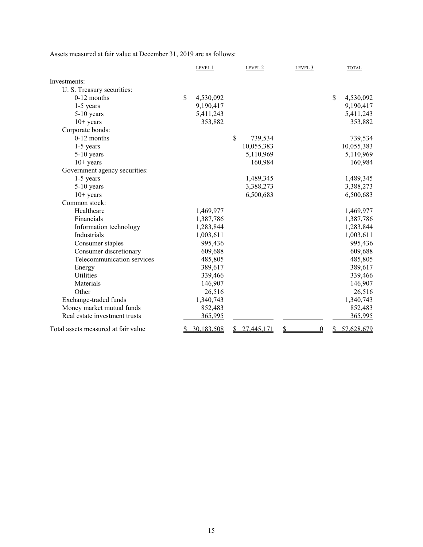Assets measured at fair value at December 31, 2019 are as follows:

|                                     |          | LEVEL 1    | LEVEL 2       | LEVEL 3              |              | <b>TOTAL</b> |
|-------------------------------------|----------|------------|---------------|----------------------|--------------|--------------|
| Investments:                        |          |            |               |                      |              |              |
| U. S. Treasury securities:          |          |            |               |                      |              |              |
| $0-12$ months                       | \$       | 4,530,092  |               |                      | $\mathbb{S}$ | 4,530,092    |
| $1-5$ years                         |          | 9,190,417  |               |                      |              | 9,190,417    |
| $5-10$ years                        |          | 5,411,243  |               |                      |              | 5,411,243    |
| $10+$ years                         |          | 353,882    |               |                      |              | 353,882      |
| Corporate bonds:                    |          |            |               |                      |              |              |
| $0-12$ months                       |          |            | \$<br>739,534 |                      |              | 739,534      |
| $1-5$ years                         |          |            | 10,055,383    |                      |              | 10,055,383   |
| 5-10 years                          |          |            | 5,110,969     |                      |              | 5,110,969    |
| $10+$ years                         |          |            | 160,984       |                      |              | 160,984      |
| Government agency securities:       |          |            |               |                      |              |              |
| $1-5$ years                         |          |            | 1,489,345     |                      |              | 1,489,345    |
| $5-10$ years                        |          |            | 3,388,273     |                      |              | 3,388,273    |
| $10+$ years                         |          |            | 6,500,683     |                      |              | 6,500,683    |
| Common stock:                       |          |            |               |                      |              |              |
| Healthcare                          |          | 1,469,977  |               |                      |              | 1,469,977    |
| Financials                          |          | 1,387,786  |               |                      |              | 1,387,786    |
| Information technology              |          | 1,283,844  |               |                      |              | 1,283,844    |
| Industrials                         |          | 1,003,611  |               |                      |              | 1,003,611    |
| Consumer staples                    |          | 995,436    |               |                      |              | 995,436      |
| Consumer discretionary              |          | 609,688    |               |                      |              | 609,688      |
| Telecommunication services          |          | 485,805    |               |                      |              | 485,805      |
| Energy                              |          | 389,617    |               |                      |              | 389,617      |
| <b>Utilities</b>                    |          | 339,466    |               |                      |              | 339,466      |
| Materials                           |          | 146,907    |               |                      |              | 146,907      |
| Other                               |          | 26,516     |               |                      |              | 26,516       |
| Exchange-traded funds               |          | 1,340,743  |               |                      |              | 1,340,743    |
| Money market mutual funds           |          | 852,483    |               |                      |              | 852,483      |
| Real estate investment trusts       |          | 365,995    |               |                      |              | 365,995      |
| Total assets measured at fair value | <u>s</u> | 30,183,508 | 27,445,171    | \$<br>$\overline{0}$ |              | 57,628,679   |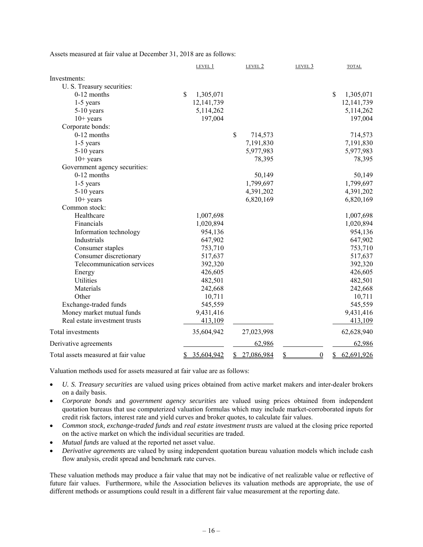Assets measured at fair value at December 31, 2018 are as follows:

|                                     | LEVEL 1                    | LEVEL 2          | LEVEL 3              | <b>TOTAL</b>     |
|-------------------------------------|----------------------------|------------------|----------------------|------------------|
| Investments:                        |                            |                  |                      |                  |
| U. S. Treasury securities:          |                            |                  |                      |                  |
| 0-12 months                         | $\mathsf{\$}$<br>1,305,071 |                  |                      | \$<br>1,305,071  |
| 1-5 years                           | 12, 141, 739               |                  |                      | 12, 141, 739     |
| $5-10$ years                        | 5,114,262                  |                  |                      | 5,114,262        |
| $10+$ years                         | 197,004                    |                  |                      | 197,004          |
| Corporate bonds:                    |                            |                  |                      |                  |
| $0-12$ months                       |                            | \$<br>714,573    |                      | 714,573          |
| $1-5$ years                         |                            | 7,191,830        |                      | 7,191,830        |
| $5-10$ years                        |                            | 5,977,983        |                      | 5,977,983        |
| $10+$ years                         |                            | 78,395           |                      | 78,395           |
| Government agency securities:       |                            |                  |                      |                  |
| $0-12$ months                       |                            | 50,149           |                      | 50,149           |
| $1-5$ years                         |                            | 1,799,697        |                      | 1,799,697        |
| $5-10$ years                        |                            | 4,391,202        |                      | 4,391,202        |
| $10+$ years                         |                            | 6,820,169        |                      | 6,820,169        |
| Common stock:                       |                            |                  |                      |                  |
| Healthcare                          | 1,007,698                  |                  |                      | 1,007,698        |
| Financials                          | 1,020,894                  |                  |                      | 1,020,894        |
| Information technology              | 954,136                    |                  |                      | 954,136          |
| Industrials                         | 647,902                    |                  |                      | 647,902          |
| Consumer staples                    | 753,710                    |                  |                      | 753,710          |
| Consumer discretionary              | 517,637                    |                  |                      | 517,637          |
| Telecommunication services          | 392,320                    |                  |                      | 392,320          |
| Energy                              | 426,605                    |                  |                      | 426,605          |
| Utilities                           | 482,501                    |                  |                      | 482,501          |
| Materials                           | 242,668                    |                  |                      | 242,668          |
| Other                               | 10,711                     |                  |                      | 10,711           |
| Exchange-traded funds               | 545,559                    |                  |                      | 545,559          |
| Money market mutual funds           | 9,431,416                  |                  |                      | 9,431,416        |
| Real estate investment trusts       | 413,109                    |                  |                      | 413,109          |
| Total investments                   | 35,604,942                 | 27,023,998       |                      | 62,628,940       |
| Derivative agreements               |                            | 62,986           |                      | 62,986           |
| Total assets measured at fair value | 35,604,942<br>\$           | 27,086,984<br>\$ | \$<br>$\overline{0}$ | 62,691,926<br>\$ |

Valuation methods used for assets measured at fair value are as follows:

- *U. S. Treasury securities* are valued using prices obtained from active market makers and inter-dealer brokers on a daily basis.
- *Corporate bonds* and *government agency securities* are valued using prices obtained from independent quotation bureaus that use computerized valuation formulas which may include market-corroborated inputs for credit risk factors, interest rate and yield curves and broker quotes, to calculate fair values.
- *Common stock, exchange-traded funds* and *real estate investment trusts* are valued at the closing price reported on the active market on which the individual securities are traded.
- *Mutual funds* are valued at the reported net asset value.
- *Derivative agreements* are valued by using independent quotation bureau valuation models which include cash flow analysis, credit spread and benchmark rate curves.

These valuation methods may produce a fair value that may not be indicative of net realizable value or reflective of future fair values. Furthermore, while the Association believes its valuation methods are appropriate, the use of different methods or assumptions could result in a different fair value measurement at the reporting date.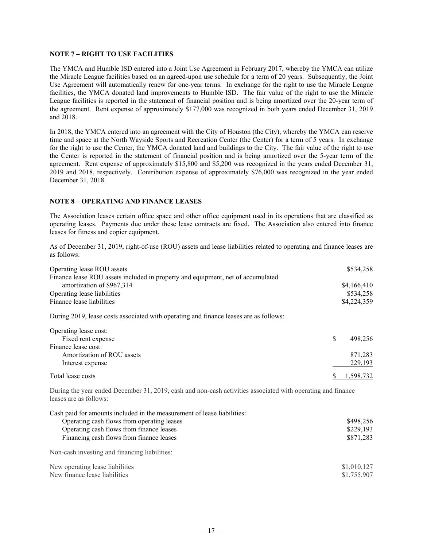#### **NOTE 7 – RIGHT TO USE FACILITIES**

The YMCA and Humble ISD entered into a Joint Use Agreement in February 2017, whereby the YMCA can utilize the Miracle League facilities based on an agreed-upon use schedule for a term of 20 years. Subsequently, the Joint Use Agreement will automatically renew for one-year terms. In exchange for the right to use the Miracle League facilities, the YMCA donated land improvements to Humble ISD. The fair value of the right to use the Miracle League facilities is reported in the statement of financial position and is being amortized over the 20-year term of the agreement. Rent expense of approximately \$177,000 was recognized in both years ended December 31, 2019 and 2018.

In 2018, the YMCA entered into an agreement with the City of Houston (the City), whereby the YMCA can reserve time and space at the North Wayside Sports and Recreation Center (the Center) for a term of 5 years. In exchange for the right to use the Center, the YMCA donated land and buildings to the City. The fair value of the right to use the Center is reported in the statement of financial position and is being amortized over the 5-year term of the agreement. Rent expense of approximately \$15,800 and \$5,200 was recognized in the years ended December 31, 2019 and 2018, respectively. Contribution expense of approximately \$76,000 was recognized in the year ended December 31, 2018.

#### **NOTE 8 – OPERATING AND FINANCE LEASES**

The Association leases certain office space and other office equipment used in its operations that are classified as operating leases. Payments due under these lease contracts are fixed. The Association also entered into finance leases for fitness and copier equipment.

As of December 31, 2019, right-of-use (ROU) assets and lease liabilities related to operating and finance leases are as follows:

| Operating lease ROU assets                                                            | \$534,258   |
|---------------------------------------------------------------------------------------|-------------|
| Finance lease ROU assets included in property and equipment, net of accumulated       |             |
| amortization of \$967,314                                                             | \$4,166,410 |
| Operating lease liabilities                                                           | \$534,258   |
| Finance lease liabilities                                                             | \$4,224,359 |
| During 2019, lease costs associated with operating and finance leases are as follows: |             |

| Operating lease cost:      |           |  |
|----------------------------|-----------|--|
| Fixed rent expense         | 498.256   |  |
| Finance lease cost:        |           |  |
| Amortization of ROU assets | 871,283   |  |
| Interest expense           | 229,193   |  |
| Total lease costs          | 1.598.732 |  |

During the year ended December 31, 2019, cash and non-cash activities associated with operating and finance leases are as follows:

| Cash paid for amounts included in the measurement of lease liabilities: |             |
|-------------------------------------------------------------------------|-------------|
| Operating cash flows from operating leases                              | \$498,256   |
| Operating cash flows from finance leases                                | \$229,193   |
| Financing cash flows from finance leases                                | \$871,283   |
| Non-cash investing and financing liabilities:                           |             |
| New operating lease liabilities                                         | \$1,010,127 |
| New finance lease liabilities                                           | \$1,755,907 |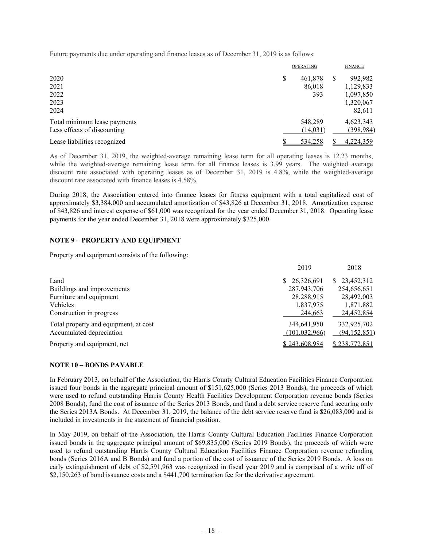Future payments due under operating and finance leases as of December 31, 2019 is as follows:

|                              | <b>OPERATING</b> | <b>FINANCE</b> |
|------------------------------|------------------|----------------|
| 2020                         | \$<br>461,878    | 992,982        |
| 2021                         | 86,018           | 1,129,833      |
| 2022                         | 393              | 1,097,850      |
| 2023                         |                  | 1,320,067      |
| 2024                         |                  | 82,611         |
| Total minimum lease payments | 548,289          | 4,623,343      |
| Less effects of discounting  | (14, 031)        | (398, 984)     |
| Lease liabilities recognized | 534,258          | 4,224,359      |

As of December 31, 2019, the weighted-average remaining lease term for all operating leases is 12.23 months, while the weighted-average remaining lease term for all finance leases is 3.99 years. The weighted average discount rate associated with operating leases as of December 31, 2019 is 4.8%, while the weighted-average discount rate associated with finance leases is 4.58%.

During 2018, the Association entered into finance leases for fitness equipment with a total capitalized cost of approximately \$3,384,000 and accumulated amortization of \$43,826 at December 31, 2018. Amortization expense of \$43,826 and interest expense of \$61,000 was recognized for the year ended December 31, 2018. Operating lease payments for the year ended December 31, 2018 were approximately \$325,000.

#### **NOTE 9 – PROPERTY AND EQUIPMENT**

Property and equipment consists of the following:

|                                       | 2019            | 2018             |
|---------------------------------------|-----------------|------------------|
| Land                                  | \$26,326,691    | 23,452,312<br>S. |
| Buildings and improvements            | 287,943,706     | 254,656,651      |
| Furniture and equipment               | 28,288,915      | 28,492,003       |
| <b>Vehicles</b>                       | 1,837,975       | 1,871,882        |
| Construction in progress              | 244,663         | 24,452,854       |
| Total property and equipment, at cost | 344,641,950     | 332,925,702      |
| Accumulated depreciation              | (101, 032, 966) | (94, 152, 851)   |
| Property and equipment, net           | \$243,608,984   | \$238,772,851    |

#### **NOTE 10 – BONDS PAYABLE**

In February 2013, on behalf of the Association, the Harris County Cultural Education Facilities Finance Corporation issued four bonds in the aggregate principal amount of \$151,625,000 (Series 2013 Bonds), the proceeds of which were used to refund outstanding Harris County Health Facilities Development Corporation revenue bonds (Series 2008 Bonds), fund the cost of issuance of the Series 2013 Bonds, and fund a debt service reserve fund securing only the Series 2013A Bonds. At December 31, 2019, the balance of the debt service reserve fund is \$26,083,000 and is included in investments in the statement of financial position.

In May 2019, on behalf of the Association, the Harris County Cultural Education Facilities Finance Corporation issued bonds in the aggregate principal amount of \$69,835,000 (Series 2019 Bonds), the proceeds of which were used to refund outstanding Harris County Cultural Education Facilities Finance Corporation revenue refunding bonds (Series 2016A and B Bonds) and fund a portion of the cost of issuance of the Series 2019 Bonds. A loss on early extinguishment of debt of \$2,591,963 was recognized in fiscal year 2019 and is comprised of a write off of \$2,150,263 of bond issuance costs and a \$441,700 termination fee for the derivative agreement.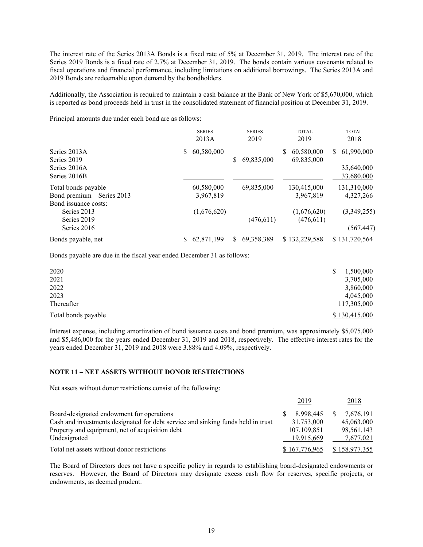The interest rate of the Series 2013A Bonds is a fixed rate of 5% at December 31, 2019. The interest rate of the Series 2019 Bonds is a fixed rate of 2.7% at December 31, 2019. The bonds contain various covenants related to fiscal operations and financial performance, including limitations on additional borrowings. The Series 2013A and 2019 Bonds are redeemable upon demand by the bondholders.

Additionally, the Association is required to maintain a cash balance at the Bank of New York of \$5,670,000, which is reported as bond proceeds held in trust in the consolidated statement of financial position at December 31, 2019.

Principal amounts due under each bond are as follows:

|                                                                           |    | <b>SERIES</b><br>2013A  | <b>SERIES</b><br>2019 | <b>TOTAL</b><br>2019          | <b>TOTAL</b><br>2018                         |
|---------------------------------------------------------------------------|----|-------------------------|-----------------------|-------------------------------|----------------------------------------------|
| Series 2013A<br>Series 2019<br>Series 2016A<br>Series 2016B               | S. | 60,580,000              | 69,835,000<br>\$      | 60,580,000<br>S<br>69,835,000 | 61,990,000<br>S.<br>35,640,000<br>33,680,000 |
| Total bonds payable<br>Bond premium - Series 2013<br>Bond issuance costs: |    | 60,580,000<br>3,967,819 | 69,835,000            | 130,415,000<br>3,967,819      | 131,310,000<br>4,327,266                     |
| Series 2013<br>Series 2019<br>Series 2016                                 |    | (1,676,620)             | (476, 611)            | (1,676,620)<br>(476,611)      | (3,349,255)<br>(567, 447)                    |
| Bonds payable, net                                                        |    | 62,871,199              | 69,358,389<br>S       | \$132,229,588                 | \$131,720,564                                |

Bonds payable are due in the fiscal year ended December 31 as follows:

| 2020                | 1,500,000     |
|---------------------|---------------|
| 2021                | 3,705,000     |
| 2022                | 3,860,000     |
| 2023                | 4,045,000     |
| Thereafter          | 117,305,000   |
| Total bonds payable | \$130,415,000 |

Interest expense, including amortization of bond issuance costs and bond premium, was approximately \$5,075,000 and \$5,486,000 for the years ended December 31, 2019 and 2018, respectively. The effective interest rates for the years ended December 31, 2019 and 2018 were 3.88% and 4.09%, respectively.

#### **NOTE 11 – NET ASSETS WITHOUT DONOR RESTRICTIONS**

Net assets without donor restrictions consist of the following:

|                                                                                  | 2019          | 2018          |
|----------------------------------------------------------------------------------|---------------|---------------|
| Board-designated endowment for operations                                        | 8.998.445     | 7.676.191     |
| Cash and investments designated for debt service and sinking funds held in trust | 31,753,000    | 45,063,000    |
| Property and equipment, net of acquisition debt                                  | 107,109,851   | 98,561,143    |
| Undesignated                                                                     | 19,915,669    | 7,677,021     |
| Total net assets without donor restrictions                                      | \$167,776,965 | \$158,977,355 |

The Board of Directors does not have a specific policy in regards to establishing board-designated endowments or reserves. However, the Board of Directors may designate excess cash flow for reserves, specific projects, or endowments, as deemed prudent.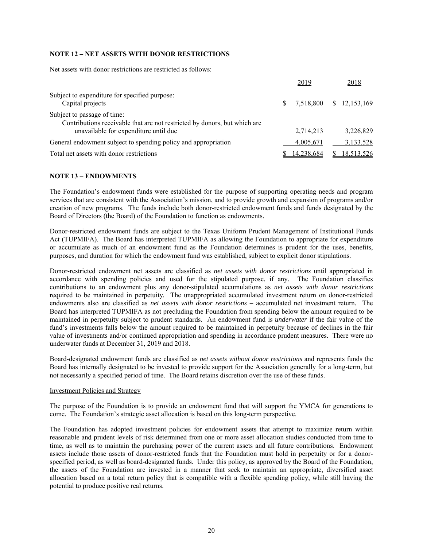#### **NOTE 12 – NET ASSETS WITH DONOR RESTRICTIONS**

Net assets with donor restrictions are restricted as follows:

|                                                                                                          | 2019       | 2018         |
|----------------------------------------------------------------------------------------------------------|------------|--------------|
| Subject to expenditure for specified purpose:<br>Capital projects                                        | 7.518.800  | \$12,153,169 |
| Subject to passage of time:<br>Contributions receivable that are not restricted by donors, but which are |            |              |
| unavailable for expenditure until due                                                                    | 2,714,213  | 3.226.829    |
| General endowment subject to spending policy and appropriation                                           | 4.005.671  | 3,133,528    |
| Total net assets with donor restrictions                                                                 | 14,238,684 | 18.513.526   |

#### **NOTE 13 – ENDOWMENTS**

The Foundation's endowment funds were established for the purpose of supporting operating needs and program services that are consistent with the Association's mission, and to provide growth and expansion of programs and/or creation of new programs. The funds include both donor-restricted endowment funds and funds designated by the Board of Directors (the Board) of the Foundation to function as endowments.

Donor-restricted endowment funds are subject to the Texas Uniform Prudent Management of Institutional Funds Act (TUPMIFA). The Board has interpreted TUPMIFA as allowing the Foundation to appropriate for expenditure or accumulate as much of an endowment fund as the Foundation determines is prudent for the uses, benefits, purposes, and duration for which the endowment fund was established, subject to explicit donor stipulations.

Donor-restricted endowment net assets are classified as *net assets with donor restrictions* until appropriated in accordance with spending policies and used for the stipulated purpose, if any. The Foundation classifies contributions to an endowment plus any donor-stipulated accumulations as *net assets with donor restrictions* required to be maintained in perpetuity*.* The unappropriated accumulated investment return on donor-restricted endowments also are classified as *net assets with donor restrictions –* accumulated net investment return*.* The Board has interpreted TUPMIFA as not precluding the Foundation from spending below the amount required to be maintained in perpetuity subject to prudent standards. An endowment fund is *underwater* if the fair value of the fund's investments falls below the amount required to be maintained in perpetuity because of declines in the fair value of investments and/or continued appropriation and spending in accordance prudent measures. There were no underwater funds at December 31, 2019 and 2018.

Board-designated endowment funds are classified as *net assets without donor restrictions* and represents funds the Board has internally designated to be invested to provide support for the Association generally for a long-term, but not necessarily a specified period of time. The Board retains discretion over the use of these funds.

#### Investment Policies and Strategy

The purpose of the Foundation is to provide an endowment fund that will support the YMCA for generations to come. The Foundation's strategic asset allocation is based on this long-term perspective.

The Foundation has adopted investment policies for endowment assets that attempt to maximize return within reasonable and prudent levels of risk determined from one or more asset allocation studies conducted from time to time, as well as to maintain the purchasing power of the current assets and all future contributions. Endowment assets include those assets of donor-restricted funds that the Foundation must hold in perpetuity or for a donorspecified period, as well as board-designated funds. Under this policy, as approved by the Board of the Foundation, the assets of the Foundation are invested in a manner that seek to maintain an appropriate, diversified asset allocation based on a total return policy that is compatible with a flexible spending policy, while still having the potential to produce positive real returns.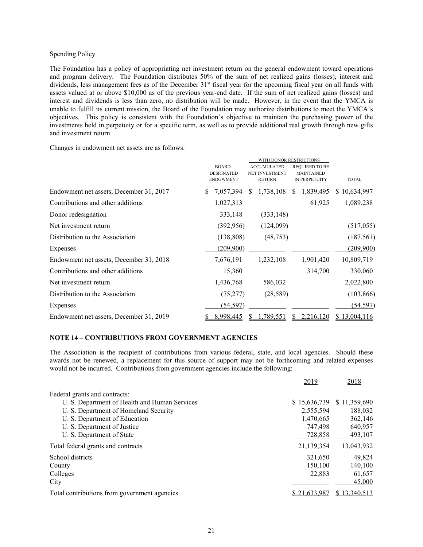#### Spending Policy

The Foundation has a policy of appropriating net investment return on the general endowment toward operations and program delivery. The Foundation distributes 50% of the sum of net realized gains (losses), interest and dividends, less management fees as of the December 31<sup>st</sup> fiscal year for the upcoming fiscal year on all funds with assets valued at or above \$10,000 as of the previous year-end date. If the sum of net realized gains (losses) and interest and dividends is less than zero, no distribution will be made. However, in the event that the YMCA is unable to fulfill its current mission, the Board of the Foundation may authorize distributions to meet the YMCA's objectives. This policy is consistent with the Foundation's objective to maintain the purchasing power of the investments held in perpetuity or for a specific term, as well as to provide additional real growth through new gifts and investment return.

Changes in endowment net assets are as follows:

|                                         | WITH DONOR RESTRICTIONS |                       |                   |                   |  |
|-----------------------------------------|-------------------------|-----------------------|-------------------|-------------------|--|
|                                         | <b>BOARD-</b>           | <b>ACCUMULATED</b>    | REQUIRED TO BE    |                   |  |
|                                         | <b>DESIGNATED</b>       | <b>NET INVESTMENT</b> | <b>MAINTAINED</b> |                   |  |
|                                         | <b>ENDOWMENT</b>        | <b>RETURN</b>         | IN PERPETUITY     | <b>TOTAL</b>      |  |
| Endowment net assets, December 31, 2017 | 7,057,394               | 1,738,108<br>S.       | 1,839,495<br>S.   | \$10,634,997      |  |
| Contributions and other additions       | 1,027,313               |                       | 61,925            | 1,089,238         |  |
| Donor redesignation                     | 333,148                 | (333, 148)            |                   |                   |  |
| Net investment return                   | (392, 956)              | (124,099)             |                   | (517,055)         |  |
| Distribution to the Association         | (138, 808)              | (48, 753)             |                   | (187, 561)        |  |
| Expenses                                | (209,900)               |                       |                   | (209,900)         |  |
| Endowment net assets, December 31, 2018 | 7,676,191               | 1,232,108             | 1,901,420         | <u>10,809,719</u> |  |
| Contributions and other additions       | 15,360                  |                       | 314,700           | 330,060           |  |
| Net investment return                   | 1,436,768               | 586,032               |                   | 2,022,800         |  |
| Distribution to the Association         | (75, 277)               | (28, 589)             |                   | (103, 866)        |  |
| Expenses                                | <u>(54,597)</u>         |                       |                   | (54, 597)         |  |
| Endowment net assets, December 31, 2019 | 8,998,445               | ,789,551              | 2,216,120         | \$13,004,116      |  |

#### **NOTE 14 – CONTRIBUTIONS FROM GOVERNMENT AGENCIES**

The Association is the recipient of contributions from various federal, state, and local agencies. Should these awards not be renewed, a replacement for this source of support may not be forthcoming and related expenses would not be incurred. Contributions from government agencies include the following:

|                                               | 2019                | 2018         |
|-----------------------------------------------|---------------------|--------------|
| Federal grants and contracts:                 |                     |              |
| U. S. Department of Health and Human Services | \$15,636,739        | \$11,359,690 |
| U. S. Department of Homeland Security         | 2,555,594           | 188,032      |
| U. S. Department of Education                 | 1,470,665           | 362,146      |
| U. S. Department of Justice                   | 747,498             | 640,957      |
| U. S. Department of State                     | 728,858             | 493,107      |
| Total federal grants and contracts            | 21,139,354          | 13,043,932   |
| School districts                              | 321,650             | 49,824       |
| County                                        | 150,100             | 140.100      |
| Colleges                                      | 22,883              | 61,657       |
| City                                          |                     | 45,000       |
| Total contributions from government agencies  | <u>\$21,633,987</u> | \$13,340,513 |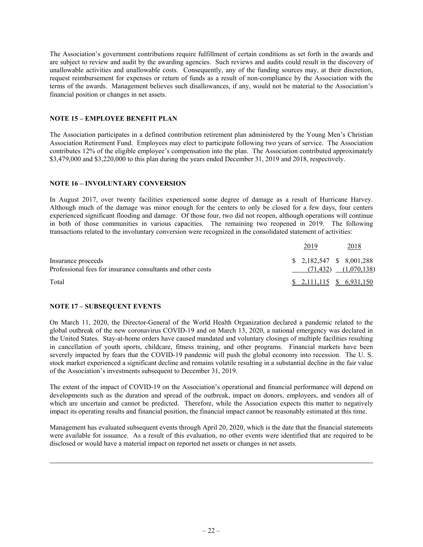The Association's government contributions require fulfillment of certain conditions as set forth in the awards and are subject to review and audit by the awarding agencies. Such reviews and audits could result in the discovery of unallowable activities and unallowable costs. Consequently, any of the funding sources may, at their discretion, request reimbursement for expenses or return of funds as a result of non-compliance by the Association with the terms of the awards. Management believes such disallowances, if any, would not be material to the Association's financial position or changes in net assets.

#### **NOTE 15 – EMPLOYEE BENEFIT PLAN**

The Association participates in a defined contribution retirement plan administered by the Young Men's Christian Association Retirement Fund. Employees may elect to participate following two years of service. The Association contributes 12% of the eligible employee's compensation into the plan. The Association contributed approximately \$3,479,000 and \$3,220,000 to this plan during the years ended December 31, 2019 and 2018, respectively.

#### **NOTE 16 – INVOLUNTARY CONVERSION**

In August 2017, over twenty facilities experienced some degree of damage as a result of Hurricane Harvey. Although much of the damage was minor enough for the centers to only be closed for a few days, four centers experienced significant flooding and damage. Of those four, two did not reopen, although operations will continue in both of those communities in various capacities. The remaining two reopened in 2019. The following transactions related to the involuntary conversion were recognized in the consolidated statement of activities:

|                                                                                   | 2019                          | 2018                        |
|-----------------------------------------------------------------------------------|-------------------------------|-----------------------------|
| Insurance proceeds<br>Professional fees for insurance consultants and other costs | $$2.182.547 \quad $8.001.288$ | $(71, 432)$ $(1, 070, 138)$ |
| Total                                                                             | $$2,111,115$ $$6,931,150$     |                             |

#### **NOTE 17 – SUBSEQUENT EVENTS**

On March 11, 2020, the Director-General of the World Health Organization declared a pandemic related to the global outbreak of the new coronavirus COVID-19 and on March 13, 2020, a national emergency was declared in the United States. Stay-at-home orders have caused mandated and voluntary closings of multiple facilities resulting in cancellation of youth sports, childcare, fitness training, and other programs. Financial markets have been severely impacted by fears that the COVID-19 pandemic will push the global economy into recession. The U.S. stock market experienced a significant decline and remains volatile resulting in a substantial decline in the fair value of the Association's investments subsequent to December 31, 2019.

The extent of the impact of COVID-19 on the Association's operational and financial performance will depend on developments such as the duration and spread of the outbreak, impact on donors, employees, and vendors all of which are uncertain and cannot be predicted. Therefore, while the Association expects this matter to negatively impact its operating results and financial position, the financial impact cannot be reasonably estimated at this time.

Management has evaluated subsequent events through April 20, 2020, which is the date that the financial statements were available for issuance. As a result of this evaluation, no other events were identified that are required to be disclosed or would have a material impact on reported net assets or changes in net assets.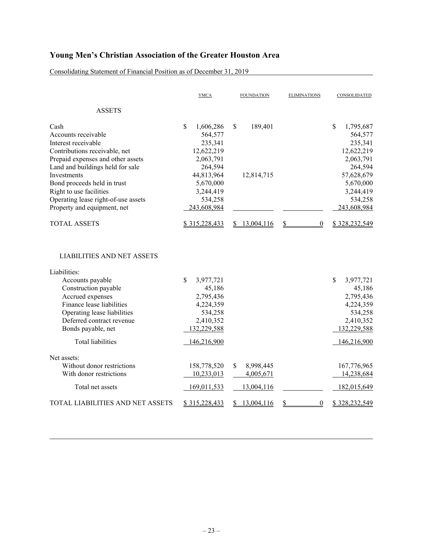Consolidating Statement of Financial Position as of December 31, 2019

|                                                                                                                                                                                                                                  | <b>YMCA</b>                                                                                | <b>FOUNDATION</b>                          | <b>ELIMINATIONS</b>    | CONSOLIDATED                                                                                         |
|----------------------------------------------------------------------------------------------------------------------------------------------------------------------------------------------------------------------------------|--------------------------------------------------------------------------------------------|--------------------------------------------|------------------------|------------------------------------------------------------------------------------------------------|
| <b>ASSETS</b>                                                                                                                                                                                                                    |                                                                                            |                                            |                        |                                                                                                      |
| Cash<br>Accounts receivable<br>Interest receivable<br>Contributions receivable, net<br>Prepaid expenses and other assets<br>Land and buildings held for sale<br>Investments                                                      | \$<br>1,606,286<br>564,577<br>235,341<br>12,622,219<br>2,063,791<br>264,594<br>44,813,964  | \$<br>189,401<br>12,814,715                |                        | \$<br>1,795,687<br>564,577<br>235,341<br>12,622,219<br>2,063,791<br>264,594<br>57,628,679            |
| Bond proceeds held in trust<br>Right to use facilities<br>Operating lease right-of-use assets<br>Property and equipment, net                                                                                                     | 5,670,000<br>3,244,419<br>534,258<br>243,608,984                                           |                                            |                        | 5,670,000<br>3,244,419<br>534,258<br>243,608,984                                                     |
| <b>TOTAL ASSETS</b>                                                                                                                                                                                                              | \$315,228,433                                                                              | \$13,004,116                               | \$<br>$\boldsymbol{0}$ | \$328,232,549                                                                                        |
| <b>LIABILITIES AND NET ASSETS</b><br>Liabilities:<br>Accounts payable<br>Construction payable<br>Accrued expenses<br>Finance lease liabilities<br>Operating lease liabilities<br>Deferred contract revenue<br>Bonds payable, net | \$<br>3,977,721<br>45,186<br>2,795,436<br>4,224,359<br>534,258<br>2,410,352<br>132,229,588 |                                            |                        | $\mathbb{S}$<br>3,977,721<br>45,186<br>2,795,436<br>4,224,359<br>534,258<br>2,410,352<br>132,229,588 |
| <b>Total liabilities</b>                                                                                                                                                                                                         | 146,216,900                                                                                |                                            |                        | 146,216,900                                                                                          |
| Net assets:<br>Without donor restrictions<br>With donor restrictions<br>Total net assets                                                                                                                                         | 158,778,520<br>10,233,013<br>169,011,533                                                   | \$<br>8,998,445<br>4,005,671<br>13,004,116 |                        | 167,776,965<br>14,238,684<br>182,015,649                                                             |
| TOTAL LIABILITIES AND NET ASSETS                                                                                                                                                                                                 | \$315,228,433                                                                              | 13,004,116<br>S.                           | \$<br>$\overline{0}$   | \$328,232,549                                                                                        |